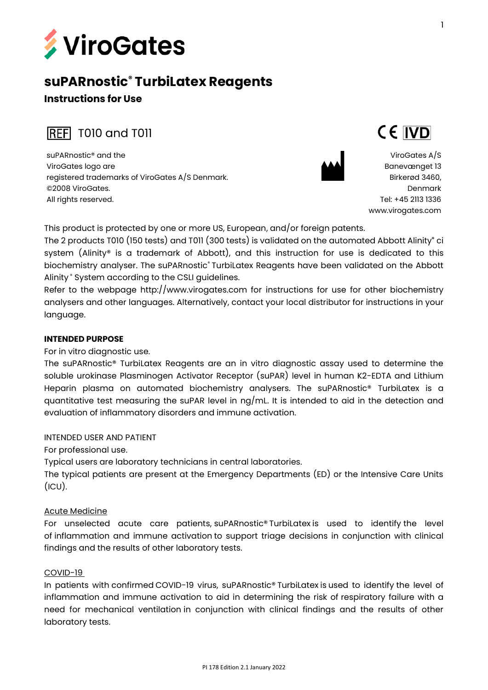

# **suPARnostic® TurbiLatex Reagents Instructions for Use**

**REF** T010 and T011

suPARnostic® and the ViroGates logo are registered trademarks of ViroGates A/S Denmark. ©2008 ViroGates. All rights reserved.



ViroGates A/S Banevænget 13 Birkerød 3460, Denmark Tel: +45 2113 1336 [www.virogates.com](http://www.virogates.com/)

CE IVD

This product is protected by one or more US, European, and/or foreign patents.

The 2 products T010 (150 tests) and T011 (300 tests) is validated on the automated Abbott Alinity**®** ci system (Alinity® is a trademark of Abbott), and this instruction for use is dedicated to this biochemistry analyser. The suPARnostic® TurbiLatex Reagents have been validated on the Abbott Alinity ® System according to the CSLI guidelines.

Refer to the webpage http://www.virogates.com for instructions for use for other biochemistry analysers and other languages. Alternatively, contact your local distributor for instructions in your language.

# **INTENDED PURPOSE**

For in vitro diagnostic use.

The suPARnostic® TurbiLatex Reagents are an in vitro diagnostic assay used to determine the soluble urokinase Plasminogen Activator Receptor (suPAR) level in human K2-EDTA and Lithium Heparin plasma on automated biochemistry analysers. The suPARnostic® TurbiLatex is a quantitative test measuring the suPAR level in ng/mL. It is intended to aid in the detection and evaluation of inflammatory disorders and immune activation.

INTENDED USER AND PATIENT

For professional use.

Typical users are laboratory technicians in central laboratories.

The typical patients are present at the Emergency Departments (ED) or the Intensive Care Units  $(ICU)$ .

# Acute Medicine

For unselected acute care patients, suPARnostic® TurbiLatex is used to identify the level of inflammation and immune activation to support triage decisions in conjunction with clinical findings and the results of other laboratory tests.

# COVID-19

In patients with confirmed COVID-19 virus, suPARnostic® TurbiLatex is used to identify the level of inflammation and immune activation to aid in determining the risk of respiratory failure with a need for mechanical ventilation in conjunction with clinical findings and the results of other laboratory tests.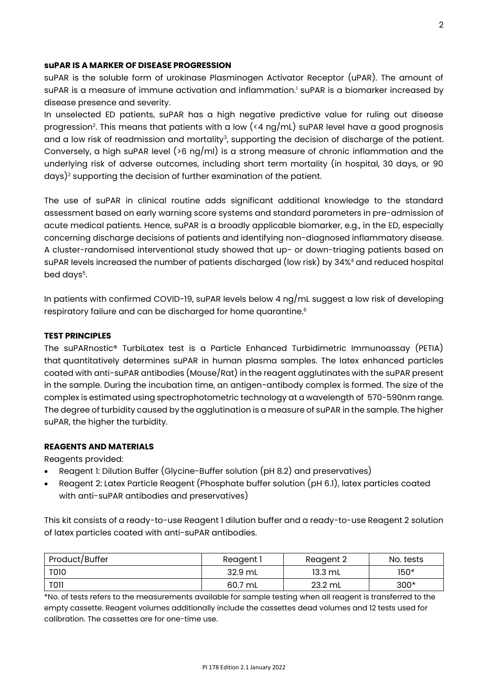# **suPAR IS A MARKER OF DISEASE PROGRESSION**

suPAR is the soluble form of urokinase Plasminogen Activator Receptor (uPAR). The amount of suPAR is a measure of immune activation and inflammation.<sup>1</sup> suPAR is a biomarker increased by disease presence and severity.

In unselected ED patients, suPAR has a high negative predictive value for ruling out disease progression<sup>2</sup>. This means that patients with a low (<4  $\log/\text{mL}$ ) suPAR level have a good prognosis and a low risk of readmission and mortality<sup>3</sup>, supporting the decision of discharge of the patient. Conversely, a high suPAR level ( $>6$  ng/ml) is a strong measure of chronic inflammation and the underlying risk of adverse outcomes, including short term mortality (in hospital, 30 days, or 90 days)<sup>2</sup> supporting the decision of further examination of the patient.

The use of suPAR in clinical routine adds significant additional knowledge to the standard assessment based on early warning score systems and standard parameters in pre-admission of acute medical patients. Hence, suPAR is a broadly applicable biomarker, e.g., in the ED, especially concerning discharge decisions of patients and identifying non-diagnosed inflammatory disease. A cluster-randomised interventional study showed that up- or down-triaging patients based on suPAR levels increased the number of patients discharged (low risk) by 34%<sup>4</sup> and reduced hospital bed days<sup>5</sup>.

In patients with confirmed COVID-19, suPAR levels below 4 ng/mL suggest a low risk of developing respiratory failure and can be discharged for home quarantine. 6

#### **TEST PRINCIPLES**

The suPARnostic® TurbiLatex test is a Particle Enhanced Turbidimetric Immunoassay (PETIA) that quantitatively determines suPAR in human plasma samples. The latex enhanced particles coated with anti-suPAR antibodies (Mouse/Rat) in the reagent agglutinates with the suPAR present in the sample. During the incubation time, an antigen-antibody complex is formed. The size of the complex is estimated using spectrophotometric technology at a wavelength of 570-590nm range. The degree of turbidity caused by the agglutination is a measure of suPAR in the sample. The higher suPAR, the higher the turbidity.

## **REAGENTS AND MATERIALS**

Reagents provided:

- Reagent 1: Dilution Buffer (Glycine-Buffer solution (pH 8.2) and preservatives)
- Reagent 2: Latex Particle Reagent (Phosphate buffer solution (pH 6.1), latex particles coated with anti-suPAR antibodies and preservatives)

This kit consists of a ready-to-use Reagent 1 dilution buffer and a ready-to-use Reagent 2 solution of latex particles coated with anti-suPAR antibodies.

| Product/Buffer | Reagent i | Reagent 2 | No. tests |
|----------------|-----------|-----------|-----------|
| <b>T010</b>    | 32.9 mL   | 13.3 mL   | 150*      |
| <b>TOII</b>    | 60.7 mL   | 23.2 mL   | $300*$    |

\*No. of tests refers to the measurements available for sample testing when all reagent is transferred to the empty cassette. Reagent volumes additionally include the cassettes dead volumes and 12 tests used for calibration. The cassettes are for one-time use.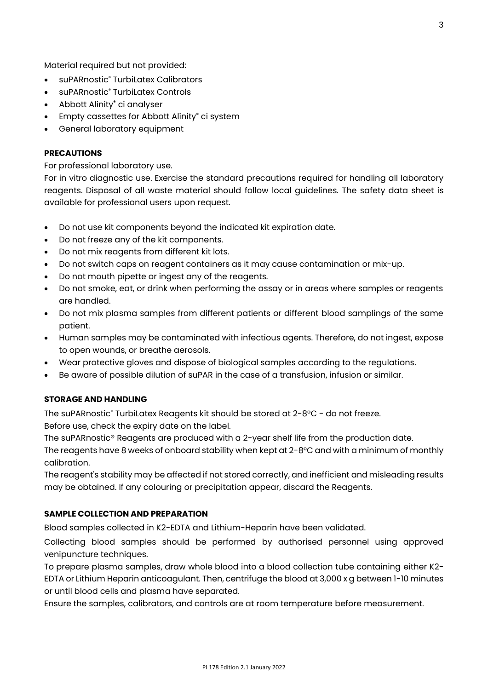Material required but not provided:

- suPARnostic<sup>®</sup> TurbiLatex Calibrators
- suPARnostic® TurbiLatex Controls
- Abbott Alinity**®** ci analyser
- Empty cassettes for Abbott Alinity**®** ci system
- General laboratory equipment

#### **PRECAUTIONS**

For professional laboratory use.

For in vitro diagnostic use. Exercise the standard precautions required for handling all laboratory reagents. Disposal of all waste material should follow local guidelines. The safety data sheet is available for professional users upon request.

- Do not use kit components beyond the indicated kit expiration date.
- Do not freeze any of the kit components.
- Do not mix reagents from different kit lots.
- Do not switch caps on reagent containers as it may cause contamination or mix-up.
- Do not mouth pipette or ingest any of the reagents.
- Do not smoke, eat, or drink when performing the assay or in areas where samples or reagents are handled.
- Do not mix plasma samples from different patients or different blood samplings of the same patient.
- Human samples may be contaminated with infectious agents. Therefore, do not ingest, expose to open wounds, or breathe aerosols.
- Wear protective gloves and dispose of biological samples according to the regulations.
- Be aware of possible dilution of suPAR in the case of a transfusion, infusion or similar.

## **STORAGE AND HANDLING**

The suPARnostic® TurbiLatex Reagents kit should be stored at 2-8°C - do not freeze. Before use, check the expiry date on the label.

The suPARnostic® Reagents are produced with a 2-year shelf life from the production date.

The reagents have 8 weeks of onboard stability when kept at 2-8°C and with a minimum of monthly calibration.

The reagent's stability may be affected if not stored correctly, and inefficient and misleading results may be obtained. If any colouring or precipitation appear, discard the Reagents.

#### **SAMPLE COLLECTION AND PREPARATION**

Blood samples collected in K2-EDTA and Lithium-Heparin have been validated.

Collecting blood samples should be performed by authorised personnel using approved venipuncture techniques.

To prepare plasma samples, draw whole blood into a blood collection tube containing either K2- EDTA or Lithium Heparin anticoagulant. Then, centrifuge the blood at 3,000 x g between 1-10 minutes or until blood cells and plasma have separated.

Ensure the samples, calibrators, and controls are at room temperature before measurement.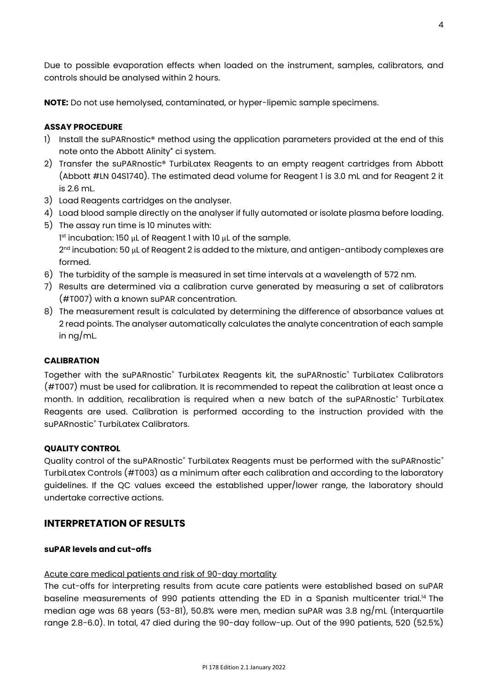Due to possible evaporation effects when loaded on the instrument, samples, calibrators, and controls should be analysed within 2 hours.

**NOTE:** Do not use hemolysed, contaminated, or hyper-lipemic sample specimens.

## **ASSAY PROCEDURE**

- 1) Install the suPARnostic<sup>®</sup> method using the application parameters provided at the end of this note onto the Abbott Alinity**®** ci system.
- 2) Transfer the suPARnostic® TurbiLatex Reagents to an empty reagent cartridges from Abbott (Abbott #LN 04S1740). The estimated dead volume for Reagent 1 is 3.0 mL and for Reagent 2 it is 2.6 mL.
- 3) Load Reagents cartridges on the analyser.
- 4) Load blood sample directly on the analyser if fully automated or isolate plasma before loading.
- 5) The assay run time is 10 minutes with:

1 st incubation: 150 μL of Reagent 1 with 10 μL of the sample. 2<sup>nd</sup> incubation: 50 μL of Reagent 2 is added to the mixture, and antigen-antibody complexes are formed.

- 6) The turbidity of the sample is measured in set time intervals at a wavelength of 572 nm.
- 7) Results are determined via a calibration curve generated by measuring a set of calibrators (#T007) with a known suPAR concentration.
- 8) The measurement result is calculated by determining the difference of absorbance values at 2 read points. The analyser automatically calculates the analyte concentration of each sample in ng/mL.

#### **CALIBRATION**

Together with the suPARnostic® TurbiLatex Reagents kit, the suPARnostic® TurbiLatex Calibrators (#T007) must be used for calibration. It is recommended to repeat the calibration at least once a month. In addition, recalibration is required when a new batch of the suPARnostic® TurbiLatex Reagents are used. Calibration is performed according to the instruction provided with the suPARnostic<sup>®</sup> TurbiLatex Calibrators.

#### **QUALITY CONTROL**

Quality control of the suPARnostic® TurbiLatex Reagents must be performed with the suPARnostic® TurbiLatex Controls (#T003) as a minimum after each calibration and according to the laboratory guidelines. If the QC values exceed the established upper/lower range, the laboratory should undertake corrective actions.

# **INTERPRETATION OF RESULTS**

#### **suPAR levels and cut-offs**

#### Acute care medical patients and risk of 90-day mortality

The cut-offs for interpreting results from acute care patients were established based on suPAR baseline measurements of 990 patients attending the ED in a Spanish multicenter trial.<sup>14</sup> The median age was 68 years (53-81), 50.8% were men, median suPAR was 3.8 ng/mL (Interquartile range 2.8-6.0). In total, 47 died during the 90-day follow-up. Out of the 990 patients, 520 (52.5%)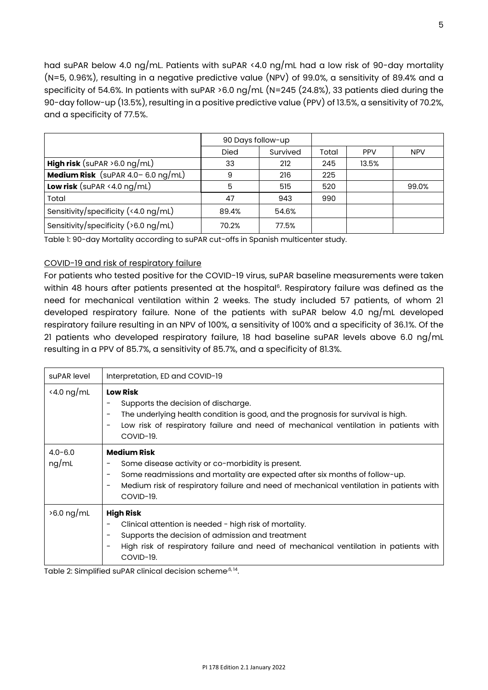had suPAR below 4.0 ng/mL. Patients with suPAR <4.0 ng/mL had a low risk of 90-day mortality (N=5, 0.96%), resulting in a negative predictive value (NPV) of 99.0%, a sensitivity of 89.4% and a specificity of 54.6%. In patients with suPAR >6.0 ng/mL (N=245 (24.8%), 33 patients died during the 90-day follow-up (13.5%), resulting in a positive predictive value (PPV) of 13.5%, a sensitivity of 70.2%, and a specificity of 77.5%.

|                                                | 90 Days follow-up |          |       |            |            |
|------------------------------------------------|-------------------|----------|-------|------------|------------|
|                                                | <b>Died</b>       | Survived | Total | <b>PPV</b> | <b>NPV</b> |
| <b>High risk</b> (suPAR $>6.0$ ng/mL)          | 33                | 212      | 245   | 13.5%      |            |
| <b>Medium Risk</b> (suPAR $4.0 - 6.0$ ng/mL)   | 9                 | 216      | 225   |            |            |
| <b>Low risk</b> (suPAR <4.0 $\log/\text{mL}$ ) | 5                 | 515      | 520   |            | 99.0%      |
| Total                                          | 47                | 943      | 990   |            |            |
| Sensitivity/specificity (<4.0 $\log$ /mL)      | 89.4%             | 54.6%    |       |            |            |
| Sensitivity/specificity ( $>6.0$ ng/mL)        | 70.2%             | 77.5%    |       |            |            |

Table 1: 90-day Mortality according to suPAR cut-offs in Spanish multicenter study.

## COVID-19 and risk of respiratory failure

For patients who tested positive for the COVID-19 virus, suPAR baseline measurements were taken within 48 hours after patients presented at the hospital<sup>6</sup>. Respiratory failure was defined as the need for mechanical ventilation within 2 weeks. The study included 57 patients, of whom 21 developed respiratory failure. None of the patients with suPAR below 4.0 ng/mL developed respiratory failure resulting in an NPV of 100%, a sensitivity of 100% and a specificity of 36.1%. Of the 21 patients who developed respiratory failure, 18 had baseline suPAR levels above 6.0 ng/mL resulting in a PPV of 85.7%, a sensitivity of 85.7%, and a specificity of 81.3%.

| suPAR level          | Interpretation, ED and COVID-19                                                                                                                                                                                                                                                                                |
|----------------------|----------------------------------------------------------------------------------------------------------------------------------------------------------------------------------------------------------------------------------------------------------------------------------------------------------------|
| $4.0 \text{ ng/mL}$  | <b>Low Risk</b><br>Supports the decision of discharge.<br>The underlying health condition is good, and the prognosis for survival is high.<br>$\overline{\phantom{m}}$<br>Low risk of respiratory failure and need of mechanical ventilation in patients with<br>$\overline{\phantom{m}}$<br>COVID-19.         |
| $4.0 - 6.0$<br>ng/mL | <b>Medium Risk</b><br>Some disease activity or co-morbidity is present.<br>Some readmissions and mortality are expected after six months of follow-up.<br>$\overline{\phantom{m}}$<br>Medium risk of respiratory failure and need of mechanical ventilation in patients with<br>$\qquad \qquad -$<br>COVID-19. |
| $>6.0$ ng/mL         | <b>High Risk</b><br>Clinical attention is needed - high risk of mortality.<br>Supports the decision of admission and treatment<br>$\overline{\phantom{m}}$<br>High risk of respiratory failure and need of mechanical ventilation in patients with<br>COVID-19.                                                |

Table 2: Simplified suPAR clinical decision scheme<sup>,6, 14</sup>.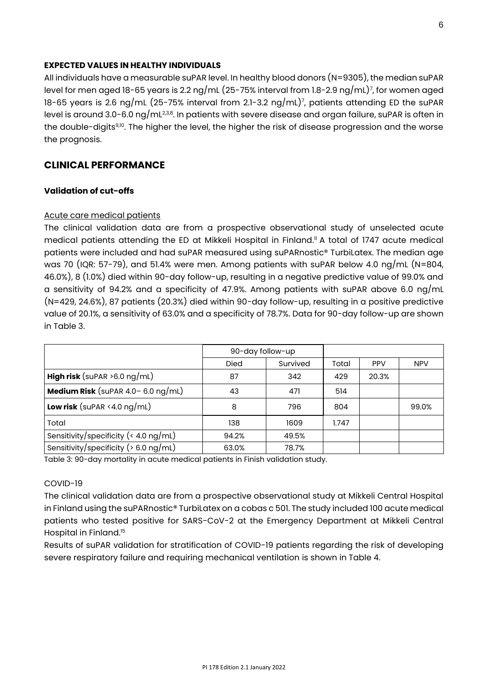#### **EXPECTED VALUES IN HEALTHY INDIVIDUALS**

All individuals have a measurable suPAR level. In healthy blood donors (N=9305), the median suPAR level for men aged 18-65 years is 2.2 ng/mL (25-75% interval from 1.8-2.9 ng/mL)<sup>7</sup> , for women aged 18-65 years is 2.6 ng/mL (25-75% interval from 2.1-3.2 ng/mL)<sup>7</sup> , patients attending ED the suPAR level is around 3.0-6.0 ng/mL $^{2,3,8}$ . In patients with severe disease and organ failure, suPAR is often in the double-digits<sup>9,10</sup>. The higher the level, the higher the risk of disease progression and the worse the prognosis.

# **CLINICAL PERFORMANCE**

#### **Validation of cut-offs**

#### Acute care medical patients

The clinical validation data are from a prospective observational study of unselected acute medical patients attending the ED at Mikkeli Hospital in Finland. <sup>11</sup> A total of 1747 acute medical patients were included and had suPAR measured using suPARnostic® TurbiLatex. The median age was 70 (IQR: 57-79), and 51.4% were men. Among patients with suPAR below 4.0 ng/mL (N=804, 46.0%), 8 (1.0%) died within 90-day follow-up, resulting in a negative predictive value of 99.0% and a sensitivity of 94.2% and a specificity of 47.9%. Among patients with suPAR above 6.0 ng/mL (N=429, 24.6%), 87 patients (20.3%) died within 90-day follow-up, resulting in a positive predictive value of 20.1%, a sensitivity of 63.0% and a specificity of 78.7%. Data for 90-day follow-up are shown in Table 3.

|                                                               | 90-day follow-up |          |       |            |            |
|---------------------------------------------------------------|------------------|----------|-------|------------|------------|
|                                                               | <b>Died</b>      | Survived | Total | <b>PPV</b> | <b>NPV</b> |
| <b>High risk</b> (suPAR $>6.0$ ng/mL)                         | 87               | 342      | 429   | 20.3%      |            |
| <b>Medium Risk</b> (suPAR $4.0 - 6.0$ ng/mL)                  | 43               | 471      | 514   |            |            |
| <b>Low risk</b> (suPAR < 4.0 $\log/\text{mL}$ )               | 8                | 796      | 804   |            | 99.0%      |
| Total                                                         | 138              | 1609     | 1.747 |            |            |
| Sensitivity/specificity ( $\langle 4.0 \text{ ng/mL} \rangle$ | 94.2%            | 49.5%    |       |            |            |
| Sensitivity/specificity ( $> 6.0$ ng/mL)                      | 63.0%            | 78.7%    |       |            |            |

Table 3: 90-day mortality in acute medical patients in Finish validation study.

#### COVID-19

The clinical validation data are from a prospective observational study at Mikkeli Central Hospital in Finland using the suPARnostic® TurbiLatex on a cobas c 501. The study included 100 acute medical patients who tested positive for SARS-CoV-2 at the Emergency Department at Mikkeli Central Hospital in Finland.<sup>15</sup>

Results of suPAR validation for stratification of COVID-19 patients regarding the risk of developing severe respiratory failure and requiring mechanical ventilation is shown in Table 4.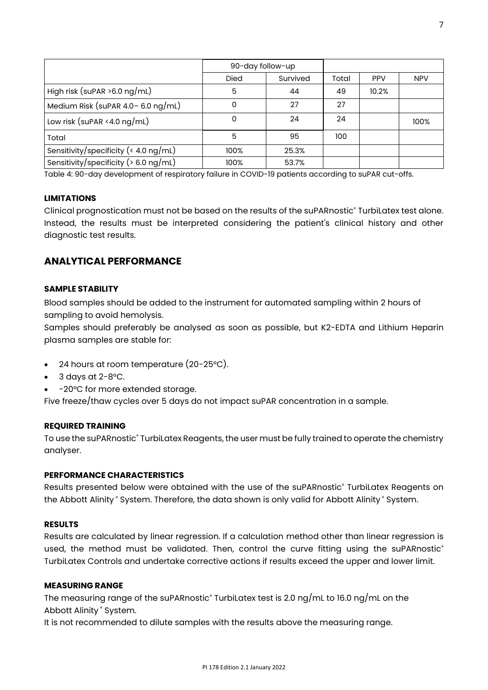|                                          | 90-day follow-up |          |       |            |            |
|------------------------------------------|------------------|----------|-------|------------|------------|
|                                          | <b>Died</b>      | Survived | Total | <b>PPV</b> | <b>NPV</b> |
| High risk (suPAR $>6.0$ ng/mL)           | 5                | 44       | 49    | 10.2%      |            |
| Medium Risk (suPAR $4.0 - 6.0$ ng/mL)    | 0                | 27       | 27    |            |            |
| Low risk (suPAR <4.0 $ng/mL$ )           | 0                | 24       | 24    |            | 100%       |
| Total                                    | 5                | 95       | 100   |            |            |
| Sensitivity/specificity (< 4.0 ng/mL)    | 100%             | 25.3%    |       |            |            |
| Sensitivity/specificity ( $> 6.0$ ng/mL) | 100%             | 53.7%    |       |            |            |

Table 4: 90-day development of respiratory failure in COVID-19 patients according to suPAR cut-offs.

#### **LIMITATIONS**

Clinical prognostication must not be based on the results of the suPARnostic® TurbiLatex test alone. Instead, the results must be interpreted considering the patient's clinical history and other diagnostic test results.

# **ANALYTICAL PERFORMANCE**

#### **SAMPLE STABILITY**

Blood samples should be added to the instrument for automated sampling within 2 hours of sampling to avoid hemolysis.

Samples should preferably be analysed as soon as possible, but K2-EDTA and Lithium Heparin plasma samples are stable for:

- 24 hours at room temperature (20-25°C).
- $3$  days at 2-8°C.
- -20°C for more extended storage.

Five freeze/thaw cycles over 5 days do not impact suPAR concentration in a sample.

#### **REQUIRED TRAINING**

To use the suPARnostic® TurbiLatex Reagents, the user must be fully trained to operate the chemistry analyser.

#### **PERFORMANCE CHARACTERISTICS**

Results presented below were obtained with the use of the suPARnostic® TurbiLatex Reagents on the Abbott Alinity ® System. Therefore, the data shown is only valid for Abbott Alinity ® System.

#### **RESULTS**

Results are calculated by linear regression. If a calculation method other than linear regression is used, the method must be validated. Then, control the curve fitting using the suPARnostic® TurbiLatex Controls and undertake corrective actions if results exceed the upper and lower limit.

#### **MEASURING RANGE**

The measuring range of the suPARnostic<sup>®</sup> TurbiLatex test is 2.0 ng/mL to 16.0 ng/mL on the Abbott Alinity ® System.

It is not recommended to dilute samples with the results above the measuring range.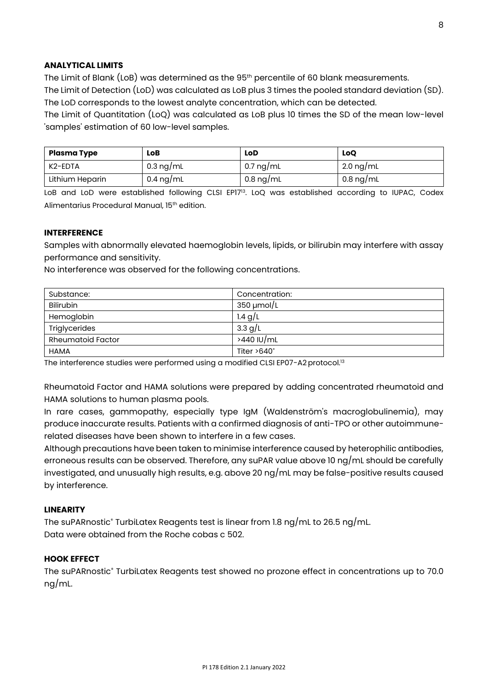## **ANALYTICAL LIMITS**

The Limit of Blank (LoB) was determined as the 95<sup>th</sup> percentile of 60 blank measurements. The Limit of Detection (LoD) was calculated as LoB plus 3 times the pooled standard deviation (SD). The LoD corresponds to the lowest analyte concentration, which can be detected.

The Limit of Quantitation (LoQ) was calculated as LoB plus 10 times the SD of the mean low-level 'samples' estimation of 60 low-level samples.

| Plasma Type     | LoB                 | LoD                 | LoO                 |
|-----------------|---------------------|---------------------|---------------------|
| K2-EDTA         | 0.3 ng/mL           | 0.7 ng/mL           | 2.0 ng/mL           |
| Lithium Heparin | $0.4 \text{ ng/mL}$ | $0.8 \text{ ng/mL}$ | $0.8 \text{ ng/mL}$ |

LoB and LoD were established following CLSI EP17<sup>13</sup>. LoQ was established according to IUPAC, Codex Alimentarius Procedural Manual, 15th edition.

### **INTERFERENCE**

Samples with abnormally elevated haemoglobin levels, lipids, or bilirubin may interfere with assay performance and sensitivity.

No interference was observed for the following concentrations.

| Substance:               | Concentration:     |
|--------------------------|--------------------|
| <b>Bilirubin</b>         | $350 \mu$ mol/L    |
| Hemoglobin               | 1.4 $g/L$          |
| Triglycerides            | 3.3 g/L            |
| <b>Rheumatoid Factor</b> | >440 IU/mL         |
| <b>HAMA</b>              | Titer $>640^\circ$ |

The interference studies were performed using a modified CLSI EP07-A2 protocol.<sup>13</sup>

Rheumatoid Factor and HAMA solutions were prepared by adding concentrated rheumatoid and HAMA solutions to human plasma pools.

In rare cases, gammopathy, especially type IgM (Waldenström's macroglobulinemia), may produce inaccurate results. Patients with a confirmed diagnosis of anti-TPO or other autoimmunerelated diseases have been shown to interfere in a few cases.

Although precautions have been taken to minimise interference caused by heterophilic antibodies, erroneous results can be observed. Therefore, any suPAR value above 10 ng/mL should be carefully investigated, and unusually high results, e.g. above 20 ng/mL may be false-positive results caused by interference.

#### **LINEARITY**

The suPARnostic® TurbiLatex Reagents test is linear from 1.8 ng/mL to 26.5 ng/mL. Data were obtained from the Roche cobas c 502.

#### **HOOK EFFECT**

The suPARnostic® TurbiLatex Reagents test showed no prozone effect in concentrations up to 70.0 ng/mL.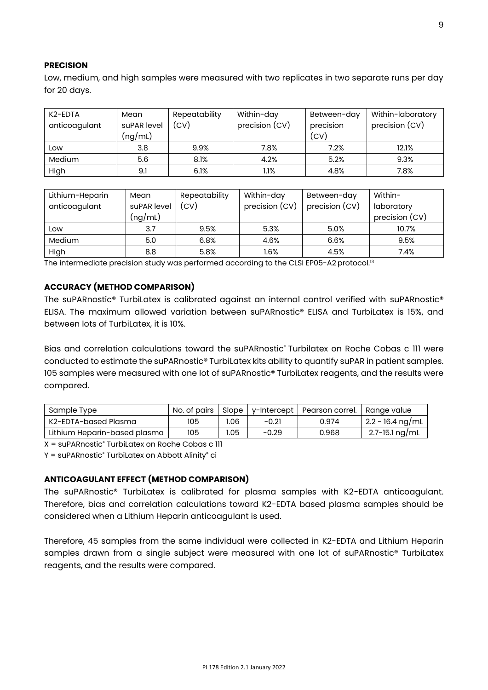## **PRECISION**

Low, medium, and high samples were measured with two replicates in two separate runs per day for 20 days.

| K <sub>2</sub> -EDTA<br>anticoagulant | Mean<br>suPAR level<br>(ng/mL) | Repeatability<br>(CV) | Within-day<br>precision (CV) | Between-day<br>precision<br>(CV) | Within-laboratory<br>precision (CV) |
|---------------------------------------|--------------------------------|-----------------------|------------------------------|----------------------------------|-------------------------------------|
| Low                                   | 3.8                            | 9.9%                  | 7.8%                         | 7.2%                             | 12.1%                               |
| Medium                                | 5.6                            | 8.1%                  | 4.2%                         | 5.2%                             | 9.3%                                |
| High                                  | 9.1                            | 6.1%                  | 1.1%                         | 4.8%                             | 7.8%                                |

| Lithium-Heparin | Mean        | Repeatability | Within-day     | Between-day    | Within-        |
|-----------------|-------------|---------------|----------------|----------------|----------------|
| anticoagulant   | suPAR level | (CV)          | precision (CV) | precision (CV) | laboratory     |
|                 | (ng/mL)     |               |                |                | precision (CV) |
| Low             | 3.7         | 9.5%          | 5.3%           | 5.0%           | 10.7%          |
| Medium          | 5.0         | 6.8%          | 4.6%           | 6.6%           | 9.5%           |
| High            | 8.8         | 5.8%          | $1.6\%$        | 4.5%           | 7.4%           |

The intermediate precision study was performed according to the CLSI EP05-A2 protocol.<sup>13</sup>

## **ACCURACY (METHOD COMPARISON)**

The suPARnostic® TurbiLatex is calibrated against an internal control verified with suPARnostic® ELISA. The maximum allowed variation between suPARnostic® ELISA and TurbiLatex is 15%, and between lots of TurbiLatex, it is 10%.

Bias and correlation calculations toward the suPARnostic® Turbilatex on Roche Cobas c III were conducted to estimate the suPARnostic® TurbiLatex kits ability to quantify suPAR in patient samples. 105 samples were measured with one lot of suPARnostic® TurbiLatex reagents, and the results were compared.

| Sample Type                  | No. of pairs | Slope I |         | y-Intercept   Pearson correl. | Range value        |
|------------------------------|--------------|---------|---------|-------------------------------|--------------------|
| K2-EDTA-based Plasma         | 105          | 1.06    | $-0.21$ | 0.974                         | $2.2 - 16.4$ ng/mL |
| Lithium Heparin-based plasma | 105          | 1.05    | $-0.29$ | 0.968                         | 2.7-15.1 ng/mL     |

X = suPARnostic® TurbiLatex on Roche Cobas c 111

Y = suPARnostic® TurbiLatex on Abbott Alinity**®** ci

### **ANTICOAGULANT EFFECT (METHOD COMPARISON)**

The suPARnostic® TurbiLatex is calibrated for plasma samples with K2-EDTA anticoagulant. Therefore, bias and correlation calculations toward K2-EDTA based plasma samples should be considered when a Lithium Heparin anticoagulant is used.

Therefore, 45 samples from the same individual were collected in K2-EDTA and Lithium Heparin samples drawn from a single subject were measured with one lot of suPARnostic® TurbiLatex reagents, and the results were compared.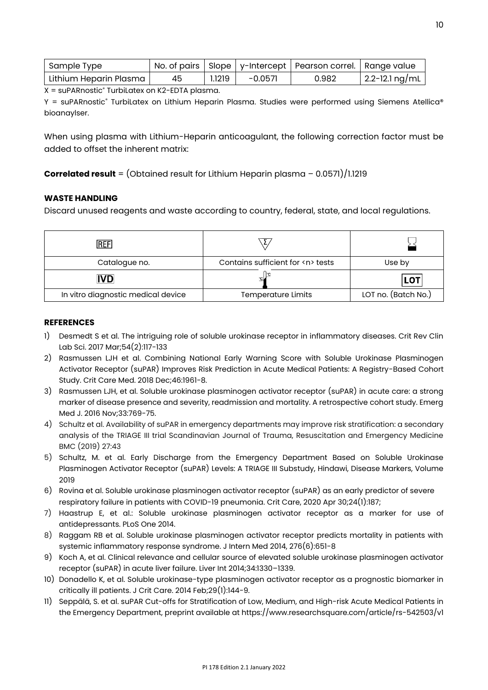| Sample Type            |    |        |           | No. of pairs   Slope   y-Intercept   Pearson correl.   Range value |                |
|------------------------|----|--------|-----------|--------------------------------------------------------------------|----------------|
| Lithium Heparin Plasma | 45 | 1.1219 | $-0.0571$ | 0.982                                                              | 2.2-12.1 ng/mL |

 $X = \text{sup}$ ARnostic<sup>®</sup> TurbiLatex on K2-EDTA plasma.

Y = suPARnostic® TurbiLatex on Lithium Heparin Plasma. Studies were performed using Siemens Atellica® bioanaylser.

When using plasma with Lithium-Heparin anticoagulant, the following correction factor must be added to offset the inherent matrix:

**Correlated result** = (Obtained result for Lithium Heparin plasma – 0.0571)/1.1219

## **WASTE HANDLING**

Discard unused reagents and waste according to country, federal, state, and local regulations.

| <b>REF</b>                         |                                       |                     |
|------------------------------------|---------------------------------------|---------------------|
| Catalogue no.                      | Contains sufficient for <n> tests</n> | Use by              |
| <b>IVD</b>                         |                                       | <b>LOT</b>          |
| In vitro diagnostic medical device | <b>Temperature Limits</b>             | LOT no. (Batch No.) |

#### **REFERENCES**

- 1) Desmedt S et al. The intriguing role of soluble urokinase receptor in inflammatory diseases. Crit Rev Clin Lab Sci. 2017 Mar;54(2):117-133
- 2) Rasmussen LJH et al. Combining National Early Warning Score with Soluble Urokinase Plasminogen Activator Receptor (suPAR) Improves Risk Prediction in Acute Medical Patients: A Registry-Based Cohort Study. Crit Care Med. 2018 Dec;46:1961-8.
- 3) Rasmussen LJH, et al. Soluble urokinase plasminogen activator receptor (suPAR) in acute care: a strong marker of disease presence and severity, readmission and mortality. A retrospective cohort study. Emerg Med J. 2016 Nov;33:769-75.
- 4) Schultz et al. Availability of suPAR in emergency departments may improve risk stratification: a secondary analysis of the TRIAGE III trial Scandinavian Journal of Trauma, Resuscitation and Emergency Medicine BMC (2019) 27:43
- 5) Schultz, M. et al. Early Discharge from the Emergency Department Based on Soluble Urokinase Plasminogen Activator Receptor (suPAR) Levels: A TRIAGE III Substudy, Hindawi, Disease Markers, Volume 2019
- 6) Rovina et al. Soluble urokinase plasminogen activator receptor (suPAR) as an early predictor of severe respiratory failure in patients with COVID-19 pneumonia. Crit Care, 2020 Apr 30;24(1):187;
- 7) Haastrup E, et al.: Soluble urokinase plasminogen activator receptor as a marker for use of antidepressants. PLoS One 2014.
- 8) Raggam RB et al. Soluble urokinase plasminogen activator receptor predicts mortality in patients with systemic inflammatory response syndrome. J Intern Med 2014, 276(6):651-8
- 9) Koch A, et al. Clinical relevance and cellular source of elevated soluble urokinase plasminogen activator receptor (suPAR) in acute liver failure. Liver Int 2014;34:1330–1339.
- 10) Donadello K, et al. Soluble urokinase-type plasminogen activator receptor as a prognostic biomarker in critically ill patients. J Crit Care. 2014 Feb;29(1):144-9.
- 11) Seppälä, S. et al. suPAR Cut-offs for Stratification of Low, Medium, and High-risk Acute Medical Patients in the Emergency Department, preprint available at https://www.researchsquare.com/article/rs-542503/v1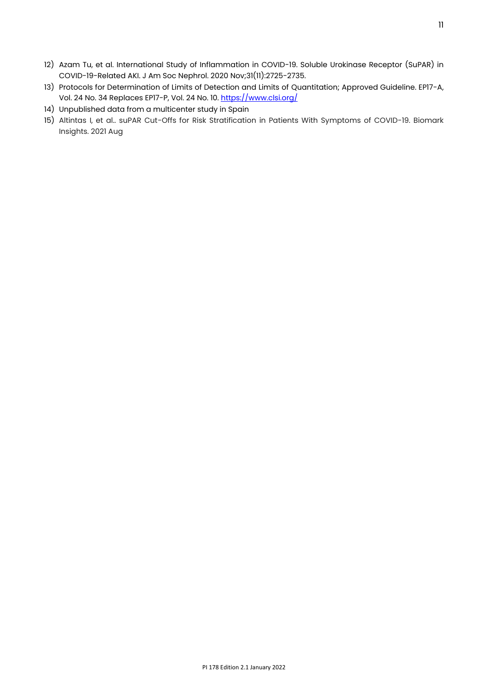- 12) Azam Tu, et al. International Study of Inflammation in COVID-19. Soluble Urokinase Receptor (SuPAR) in COVID-19-Related AKI. J Am Soc Nephrol. 2020 Nov;31(11):2725-2735.
- 13) Protocols for Determination of Limits of Detection and Limits of Quantitation; Approved Guideline. EP17-A, Vol. 24 No. 34 Replaces EP17-P, Vol. 24 No. 10[. https://www.clsi.org/](https://www.clsi.org/)
- 14) Unpublished data from a multicenter study in Spain
- 15) Altintas I, et al.. suPAR Cut-Offs for Risk Stratification in Patients With Symptoms of COVID-19. Biomark Insights. 2021 Aug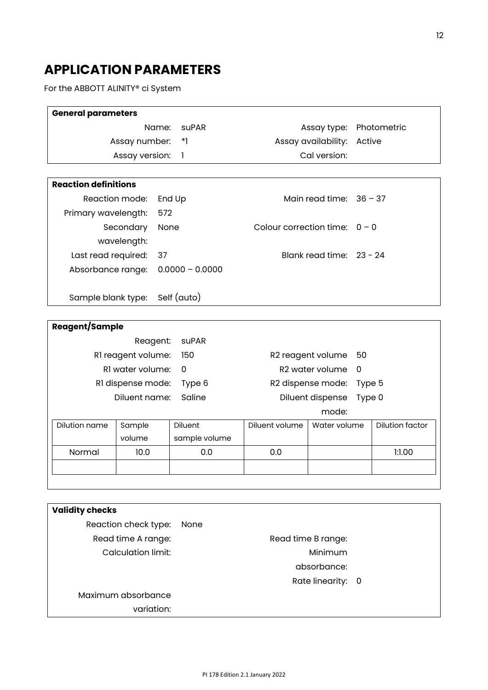# **APPLICATION PARAMETERS**

For the ABBOTT ALINITY® ci System

| <b>General parameters</b>                            |                                   |                   |                            |                           |                        |
|------------------------------------------------------|-----------------------------------|-------------------|----------------------------|---------------------------|------------------------|
| Name:<br><b>suPAR</b>                                |                                   |                   | Assay type:                | Photometric               |                        |
| Assay number:<br>$*$ ]                               |                                   |                   | Assay availability:        | Active                    |                        |
| Assay version:<br>$\mathbf{1}$                       |                                   |                   | Cal version:               |                           |                        |
|                                                      |                                   |                   |                            |                           |                        |
| <b>Reaction definitions</b>                          |                                   |                   |                            |                           |                        |
| Reaction mode:                                       |                                   | End Up            |                            | Main read time: $36 - 37$ |                        |
| Primary wavelength:                                  | 572                               |                   |                            |                           |                        |
|                                                      | Secondary<br>None                 |                   | Colour correction time:    |                           | $0 - 0$                |
|                                                      | wavelength:                       |                   |                            |                           |                        |
| Last read required:<br>37                            |                                   |                   |                            | Blank read time: 23 - 24  |                        |
| Absorbance range:                                    |                                   | $0.0000 - 0.0000$ |                            |                           |                        |
|                                                      |                                   |                   |                            |                           |                        |
|                                                      | Self (auto)<br>Sample blank type: |                   |                            |                           |                        |
|                                                      |                                   |                   |                            |                           |                        |
| Reagent/Sample                                       |                                   |                   |                            |                           |                        |
|                                                      | Reagent:                          | <b>suPAR</b>      |                            |                           |                        |
| RI reagent volume:<br>150                            |                                   |                   |                            | R2 reagent volume         | 50                     |
| RI water volume:<br>R2 water volume<br>$\Omega$<br>0 |                                   |                   |                            |                           |                        |
| RI dispense mode:<br>Type 6                          |                                   |                   |                            | R2 dispense mode:         | Type 5                 |
| Saline<br>Diluent name:                              |                                   |                   | Diluent dispense<br>Type 0 |                           |                        |
|                                                      |                                   |                   |                            | mode:                     |                        |
| Dilution name                                        | Sample                            | Diluent           | Diluent volume             | Water volume              | <b>Dilution factor</b> |
|                                                      | volume                            | sample volume     |                            |                           |                        |
| Normal                                               | 10.0                              | 0.0               | 0.0                        |                           | 1:1.00                 |
|                                                      |                                   |                   |                            |                           |                        |

| <b>Validity checks</b> |                    |  |
|------------------------|--------------------|--|
| Reaction check type:   | None               |  |
| Read time A range:     | Read time B range: |  |
| Calculation limit:     | Minimum            |  |
|                        | absorbance:        |  |
|                        | Rate linearity: 0  |  |
| Maximum absorbance     |                    |  |
| variation:             |                    |  |